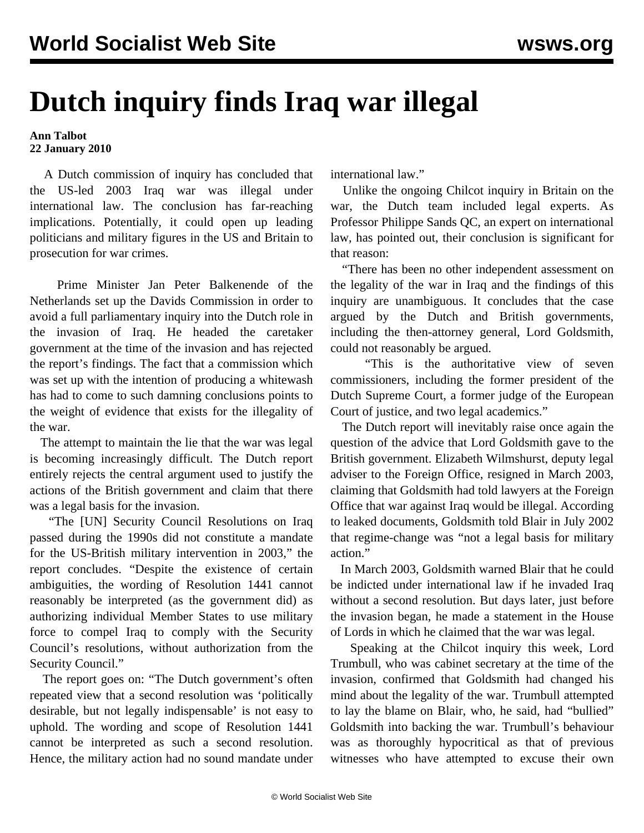## **Dutch inquiry finds Iraq war illegal**

**Ann Talbot 22 January 2010**

 A Dutch commission of inquiry has concluded that the US-led 2003 Iraq war was illegal under international law. The conclusion has far-reaching implications. Potentially, it could open up leading politicians and military figures in the US and Britain to prosecution for war crimes.

 Prime Minister Jan Peter Balkenende of the Netherlands set up the Davids Commission in order to avoid a full parliamentary inquiry into the Dutch role in the invasion of Iraq. He headed the caretaker government at the time of the invasion and has rejected the report's findings. The fact that a commission which was set up with the intention of producing a whitewash has had to come to such damning conclusions points to the weight of evidence that exists for the illegality of the war.

 The attempt to maintain the lie that the war was legal is becoming increasingly difficult. The Dutch report entirely rejects the central argument used to justify the actions of the British government and claim that there was a legal basis for the invasion.

 "The [UN] Security Council Resolutions on Iraq passed during the 1990s did not constitute a mandate for the US-British military intervention in 2003," the report concludes. "Despite the existence of certain ambiguities, the wording of Resolution 1441 cannot reasonably be interpreted (as the government did) as authorizing individual Member States to use military force to compel Iraq to comply with the Security Council's resolutions, without authorization from the Security Council."

 The report goes on: "The Dutch government's often repeated view that a second resolution was 'politically desirable, but not legally indispensable' is not easy to uphold. The wording and scope of Resolution 1441 cannot be interpreted as such a second resolution. Hence, the military action had no sound mandate under international law."

 Unlike the ongoing Chilcot inquiry in Britain on the war, the Dutch team included legal experts. As Professor Philippe Sands QC, an expert on international law, has pointed out, their conclusion is significant for that reason:

 "There has been no other independent assessment on the legality of the war in Iraq and the findings of this inquiry are unambiguous. It concludes that the case argued by the Dutch and British governments, including the then-attorney general, Lord Goldsmith, could not reasonably be argued.

 "This is the authoritative view of seven commissioners, including the former president of the Dutch Supreme Court, a former judge of the European Court of justice, and two legal academics."

 The Dutch report will inevitably raise once again the question of the advice that Lord Goldsmith gave to the British government. Elizabeth Wilmshurst, deputy legal adviser to the Foreign Office, resigned in March 2003, claiming that Goldsmith had told lawyers at the Foreign Office that war against Iraq would be illegal. According to leaked documents, Goldsmith told Blair in July 2002 that regime-change was "not a legal basis for military action."

 In March 2003, Goldsmith warned Blair that he could be indicted under international law if he invaded Iraq without a second resolution. But days later, just before the invasion began, he made a statement in the House of Lords in which he claimed that the war was legal.

 Speaking at the Chilcot inquiry this week, Lord Trumbull, who was cabinet secretary at the time of the invasion, confirmed that Goldsmith had changed his mind about the legality of the war. Trumbull attempted to lay the blame on Blair, who, he said, had "bullied" Goldsmith into backing the war. Trumbull's behaviour was as thoroughly hypocritical as that of previous witnesses who have attempted to excuse their own